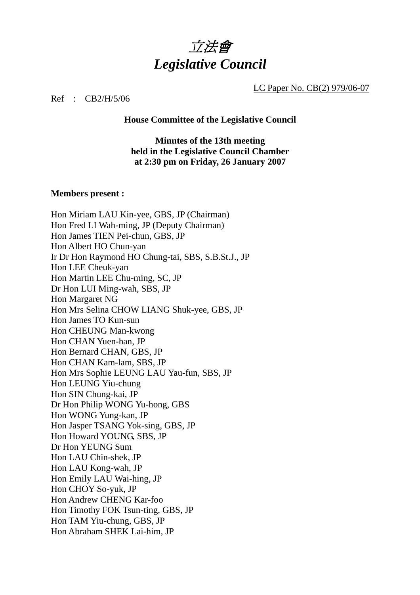

LC Paper No. CB(2) 979/06-07

Ref : CB2/H/5/06

**House Committee of the Legislative Council** 

**Minutes of the 13th meeting held in the Legislative Council Chamber at 2:30 pm on Friday, 26 January 2007** 

#### **Members present :**

Hon Miriam LAU Kin-yee, GBS, JP (Chairman) Hon Fred LI Wah-ming, JP (Deputy Chairman) Hon James TIEN Pei-chun, GBS, JP Hon Albert HO Chun-yan Ir Dr Hon Raymond HO Chung-tai, SBS, S.B.St.J., JP Hon LEE Cheuk-yan Hon Martin LEE Chu-ming, SC, JP Dr Hon LUI Ming-wah, SBS, JP Hon Margaret NG Hon Mrs Selina CHOW LIANG Shuk-yee, GBS, JP Hon James TO Kun-sun Hon CHEUNG Man-kwong Hon CHAN Yuen-han, JP Hon Bernard CHAN, GBS, JP Hon CHAN Kam-lam, SBS, JP Hon Mrs Sophie LEUNG LAU Yau-fun, SBS, JP Hon LEUNG Yiu-chung Hon SIN Chung-kai, JP Dr Hon Philip WONG Yu-hong, GBS Hon WONG Yung-kan, JP Hon Jasper TSANG Yok-sing, GBS, JP Hon Howard YOUNG, SBS, JP Dr Hon YEUNG Sum Hon LAU Chin-shek, JP Hon LAU Kong-wah, JP Hon Emily LAU Wai-hing, JP Hon CHOY So-yuk, JP Hon Andrew CHENG Kar-foo Hon Timothy FOK Tsun-ting, GBS, JP Hon TAM Yiu-chung, GBS, JP Hon Abraham SHEK Lai-him, JP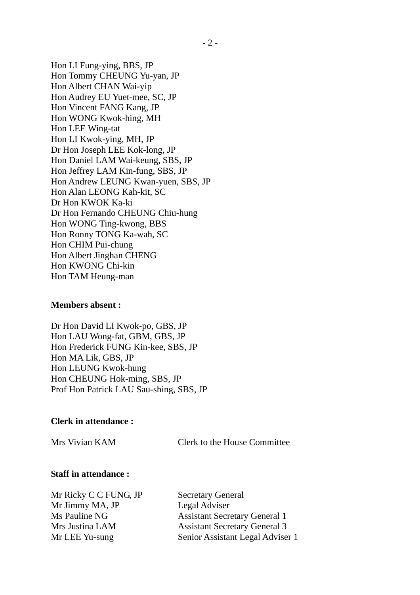Hon LI Fung-ying, BBS, JP Hon Tommy CHEUNG Yu-yan, JP Hon Albert CHAN Wai-yip Hon Audrey EU Yuet-mee, SC, JP Hon Vincent FANG Kang, JP Hon WONG Kwok-hing, MH Hon LEE Wing-tat Hon LI Kwok-ying, MH, JP Dr Hon Joseph LEE Kok-long, JP Hon Daniel LAM Wai-keung, SBS, JP Hon Jeffrey LAM Kin-fung, SBS, JP Hon Andrew LEUNG Kwan-yuen, SBS, JP Hon Alan LEONG Kah-kit, SC Dr Hon KWOK Ka-ki Dr Hon Fernando CHEUNG Chiu-hung Hon WONG Ting-kwong, BBS Hon Ronny TONG Ka-wah, SC Hon CHIM Pui-chung Hon Albert Jinghan CHENG Hon KWONG Chi-kin Hon TAM Heung-man

#### **Members absent :**

Dr Hon David LI Kwok-po, GBS, JP Hon LAU Wong-fat, GBM, GBS, JP Hon Frederick FUNG Kin-kee, SBS, JP Hon MA Lik, GBS, JP Hon LEUNG Kwok-hung Hon CHEUNG Hok-ming, SBS, JP Prof Hon Patrick LAU Sau-shing, SBS, JP

#### **Clerk in attendance :**

Mrs Vivian KAM Clerk to the House Committee

#### **Staff in attendance :**

Mr Ricky C C FUNG, JP Secretary General Mr Jimmy MA, JP Legal Adviser

Ms Pauline NG Assistant Secretary General 1 Mrs Justina LAM Assistant Secretary General 3 Mr LEE Yu-sung Senior Assistant Legal Adviser 1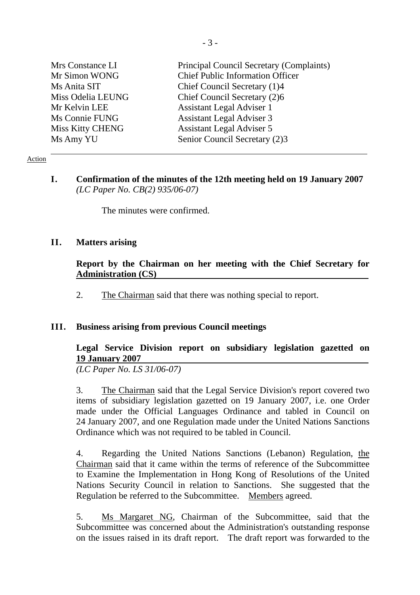| Mrs Constance LI  | Principal Council Secretary (Complaints) |
|-------------------|------------------------------------------|
| Mr Simon WONG     | <b>Chief Public Information Officer</b>  |
| Ms Anita SIT      | Chief Council Secretary (1)4             |
| Miss Odelia LEUNG | Chief Council Secretary (2)6             |
| Mr Kelvin LEE     | <b>Assistant Legal Adviser 1</b>         |
| Ms Connie FUNG    | <b>Assistant Legal Adviser 3</b>         |
| Miss Kitty CHENG  | <b>Assistant Legal Adviser 5</b>         |
| Ms Amy YU         | Senior Council Secretary (2)3            |

#### Action

#### **I. Confirmation of the minutes of the 12th meeting held on 19 January 2007**  *(LC Paper No. CB(2) 935/06-07)*

The minutes were confirmed.

#### **II. Matters arising**

#### **Report by the Chairman on her meeting with the Chief Secretary for Administration (CS)**

2. The Chairman said that there was nothing special to report.

#### **III. Business arising from previous Council meetings**

# **Legal Service Division report on subsidiary legislation gazetted on 19 January 2007**

*(LC Paper No. LS 31/06-07)* 

3. The Chairman said that the Legal Service Division's report covered two items of subsidiary legislation gazetted on 19 January 2007, i.e. one Order made under the Official Languages Ordinance and tabled in Council on 24 January 2007, and one Regulation made under the United Nations Sanctions Ordinance which was not required to be tabled in Council.

4. Regarding the United Nations Sanctions (Lebanon) Regulation, the Chairman said that it came within the terms of reference of the Subcommittee to Examine the Implementation in Hong Kong of Resolutions of the United Nations Security Council in relation to Sanctions. She suggested that the Regulation be referred to the Subcommittee. Members agreed.

5. Ms Margaret NG, Chairman of the Subcommittee, said that the Subcommittee was concerned about the Administration's outstanding response on the issues raised in its draft report. The draft report was forwarded to the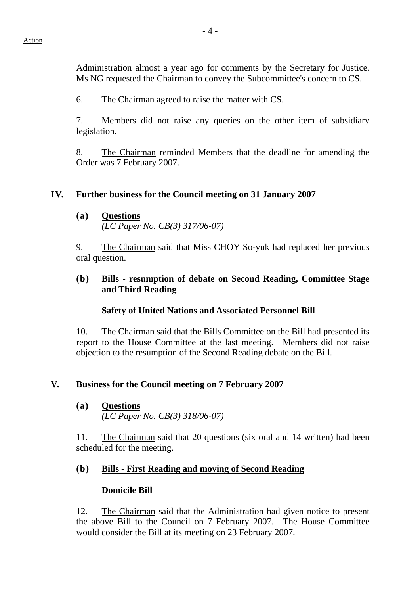Administration almost a year ago for comments by the Secretary for Justice. Ms NG requested the Chairman to convey the Subcommittee's concern to CS.

6. The Chairman agreed to raise the matter with CS.

7. Members did not raise any queries on the other item of subsidiary legislation.

8. The Chairman reminded Members that the deadline for amending the Order was 7 February 2007.

### **IV. Further business for the Council meeting on 31 January 2007**

### **(a) Questions**

 *(LC Paper No. CB(3) 317/06-07)* 

9. The Chairman said that Miss CHOY So-yuk had replaced her previous oral question.

### **(b) Bills - resumption of debate on Second Reading, Committee Stage and Third Reading**

# **Safety of United Nations and Associated Personnel Bill**

10. The Chairman said that the Bills Committee on the Bill had presented its report to the House Committee at the last meeting. Members did not raise objection to the resumption of the Second Reading debate on the Bill.

# **V. Business for the Council meeting on 7 February 2007**

#### **(a) Questions**

*(LC Paper No. CB(3) 318/06-07)* 

11. The Chairman said that 20 questions (six oral and 14 written) had been scheduled for the meeting.

# **(b) Bills - First Reading and moving of Second Reading**

#### **Domicile Bill**

12. The Chairman said that the Administration had given notice to present the above Bill to the Council on 7 February 2007. The House Committee would consider the Bill at its meeting on 23 February 2007.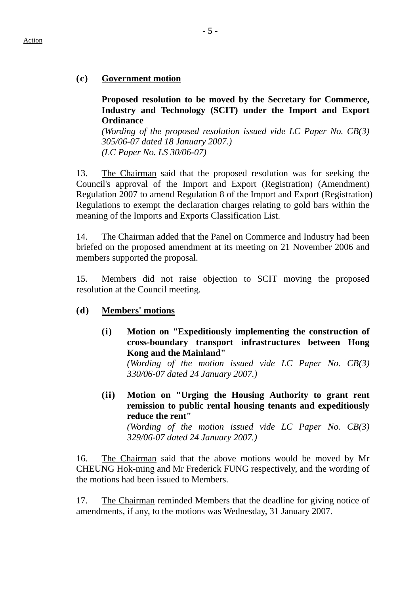# **(c) Government motion**

**Proposed resolution to be moved by the Secretary for Commerce, Industry and Technology (SCIT) under the Import and Export Ordinance** 

*(Wording of the proposed resolution issued vide LC Paper No. CB(3) 305/06-07 dated 18 January 2007.) (LC Paper No. LS 30/06-07)* 

13. The Chairman said that the proposed resolution was for seeking the Council's approval of the Import and Export (Registration) (Amendment) Regulation 2007 to amend Regulation 8 of the Import and Export (Registration) Regulations to exempt the declaration charges relating to gold bars within the meaning of the Imports and Exports Classification List.

14. The Chairman added that the Panel on Commerce and Industry had been briefed on the proposed amendment at its meeting on 21 November 2006 and members supported the proposal.

15. Members did not raise objection to SCIT moving the proposed resolution at the Council meeting.

# **(d) Members' motions**

**(i) Motion on "Expeditiously implementing the construction of cross-boundary transport infrastructures between Hong Kong and the Mainland"**

*(Wording of the motion issued vide LC Paper No. CB(3) 330/06-07 dated 24 January 2007.)* 

**(ii) Motion on "Urging the Housing Authority to grant rent remission to public rental housing tenants and expeditiously reduce the rent"**

*(Wording of the motion issued vide LC Paper No. CB(3) 329/06-07 dated 24 January 2007.)* 

16. The Chairman said that the above motions would be moved by Mr CHEUNG Hok-ming and Mr Frederick FUNG respectively, and the wording of the motions had been issued to Members.

17. The Chairman reminded Members that the deadline for giving notice of amendments, if any, to the motions was Wednesday, 31 January 2007.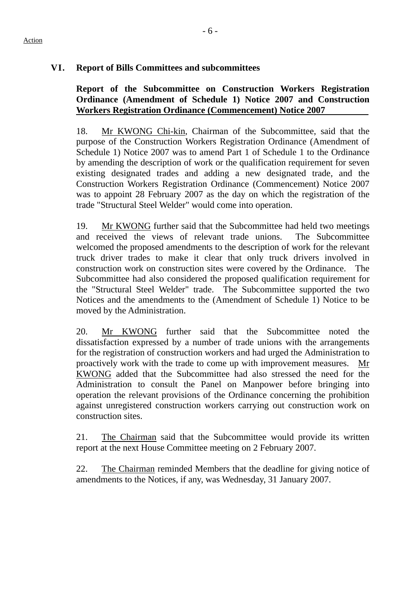# **VI. Report of Bills Committees and subcommittees**

# **Report of the Subcommittee on Construction Workers Registration Ordinance (Amendment of Schedule 1) Notice 2007 and Construction Workers Registration Ordinance (Commencement) Notice 2007**

18. Mr KWONG Chi-kin, Chairman of the Subcommittee, said that the purpose of the Construction Workers Registration Ordinance (Amendment of Schedule 1) Notice 2007 was to amend Part 1 of Schedule 1 to the Ordinance by amending the description of work or the qualification requirement for seven existing designated trades and adding a new designated trade, and the Construction Workers Registration Ordinance (Commencement) Notice 2007 was to appoint 28 February 2007 as the day on which the registration of the trade "Structural Steel Welder" would come into operation.

19. Mr KWONG further said that the Subcommittee had held two meetings and received the views of relevant trade unions. The Subcommittee welcomed the proposed amendments to the description of work for the relevant truck driver trades to make it clear that only truck drivers involved in construction work on construction sites were covered by the Ordinance. The Subcommittee had also considered the proposed qualification requirement for the "Structural Steel Welder" trade. The Subcommittee supported the two Notices and the amendments to the (Amendment of Schedule 1) Notice to be moved by the Administration.

20. Mr KWONG further said that the Subcommittee noted the dissatisfaction expressed by a number of trade unions with the arrangements for the registration of construction workers and had urged the Administration to proactively work with the trade to come up with improvement measures. Mr KWONG added that the Subcommittee had also stressed the need for the Administration to consult the Panel on Manpower before bringing into operation the relevant provisions of the Ordinance concerning the prohibition against unregistered construction workers carrying out construction work on construction sites.

21. The Chairman said that the Subcommittee would provide its written report at the next House Committee meeting on 2 February 2007.

22. The Chairman reminded Members that the deadline for giving notice of amendments to the Notices, if any, was Wednesday, 31 January 2007.